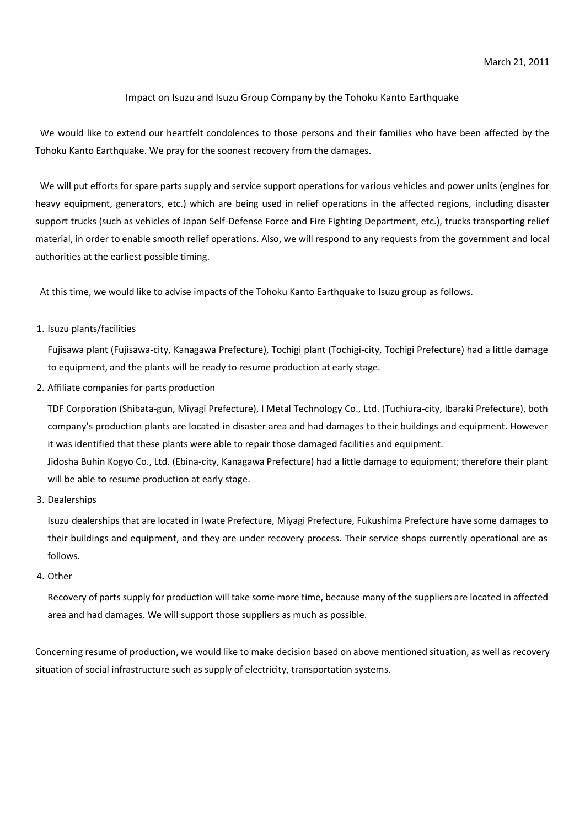## Impact on Isuzu and Isuzu Group Company by the Tohoku Kanto Earthquake

We would like to extend our heartfelt condolences to those persons and their families who have been affected by the Tohoku Kanto Earthquake. We pray for the soonest recovery from the damages.

We will put efforts for spare parts supply and service support operations for various vehicles and power units (engines for heavy equipment, generators, etc.) which are being used in relief operations in the affected regions, including disaster support trucks (such as vehicles of Japan Self-Defense Force and Fire Fighting Department, etc.), trucks transporting relief material, in order to enable smooth relief operations. Also, we will respond to any requests from the government and local authorities at the earliest possible timing.

At this time, we would like to advise impacts of the Tohoku Kanto Earthquake to Isuzu group as follows.

## 1. Isuzu plants/facilities

Fujisawa plant (Fujisawa-city, Kanagawa Prefecture), Tochigi plant (Tochigi-city, Tochigi Prefecture) had a little damage to equipment, and the plants will be ready to resume production at early stage.

2. Affiliate companies for parts production

will be able to resume production at early stage.

TDF Corporation (Shibata-gun, Miyagi Prefecture), I Metal Technology Co., Ltd. (Tuchiura-city, Ibaraki Prefecture), both company's production plants are located in disaster area and had damages to their buildings and equipment. However it was identified that these plants were able to repair those damaged facilities and equipment. Jidosha Buhin Kogyo Co., Ltd. (Ebina-city, Kanagawa Prefecture) had a little damage to equipment; therefore their plant

3. Dealerships

Isuzu dealerships that are located in Iwate Prefecture, Miyagi Prefecture, Fukushima Prefecture have some damages to their buildings and equipment, and they are under recovery process. Their service shops currently operational are as follows.

4. Other

Recovery of parts supply for production will take some more time, because many of the suppliers are located in affected area and had damages. We will support those suppliers as much as possible.

Concerning resume of production, we would like to make decision based on above mentioned situation, as well as recovery situation of social infrastructure such as supply of electricity, transportation systems.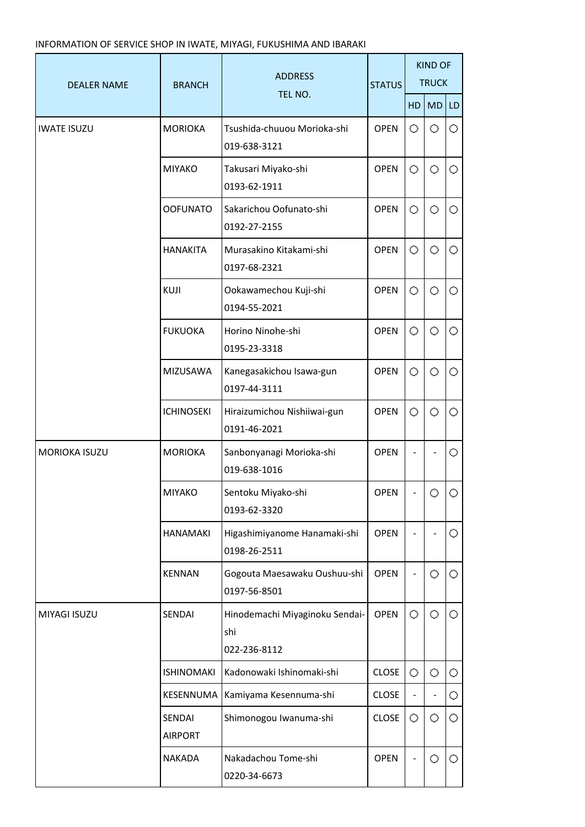## INFORMATION OF SERVICE SHOP IN IWATE, MIYAGI, FUKUSHIMA AND IBARAKI

| <b>DEALER NAME</b>   | <b>BRANCH</b>            | <b>ADDRESS</b><br>TEL NO.                             | <b>STATUS</b> | <b>KIND OF</b><br><b>TRUCK</b> |         |         |
|----------------------|--------------------------|-------------------------------------------------------|---------------|--------------------------------|---------|---------|
|                      |                          |                                                       |               | HD                             | MD      | LD      |
| <b>IWATE ISUZU</b>   | <b>MORIOKA</b>           | Tsushida-chuuou Morioka-shi<br>019-638-3121           | <b>OPEN</b>   | O                              | O       | O       |
|                      | <b>MIYAKO</b>            | Takusari Miyako-shi<br>0193-62-1911                   | <b>OPEN</b>   | O                              | $\circ$ | 0       |
|                      | <b>OOFUNATO</b>          | Sakarichou Oofunato-shi<br>0192-27-2155               | <b>OPEN</b>   | О                              | O       | 0.      |
|                      | <b>HANAKITA</b>          | Murasakino Kitakami-shi<br>0197-68-2321               | <b>OPEN</b>   | Ο                              | O       | 0       |
|                      | KUJI                     | Ookawamechou Kuji-shi<br>0194-55-2021                 | <b>OPEN</b>   | Ο                              | Ο       | 0.      |
|                      | <b>FUKUOKA</b>           | Horino Ninohe-shi<br>0195-23-3318                     | <b>OPEN</b>   | О                              | O       | $\circ$ |
|                      | MIZUSAWA                 | Kanegasakichou Isawa-gun<br>0197-44-3111              | <b>OPEN</b>   | O                              | O       | $\circ$ |
|                      | <b>ICHINOSEKI</b>        | Hiraizumichou Nishiiwai-gun<br>0191-46-2021           | <b>OPEN</b>   | O                              | O       | $\circ$ |
| <b>MORIOKA ISUZU</b> | <b>MORIOKA</b>           | Sanbonyanagi Morioka-shi<br>019-638-1016              | <b>OPEN</b>   |                                |         | 0       |
|                      | <b>MIYAKO</b>            | Sentoku Miyako-shi<br>0193-62-3320                    | <b>OPEN</b>   |                                | Ω.      | Ω.      |
|                      | <b>HANAMAKI</b>          | Higashimiyanome Hanamaki-shi<br>0198-26-2511          | <b>OPEN</b>   |                                |         | 0.      |
|                      | <b>KENNAN</b>            | Gogouta Maesawaku Oushuu-shi<br>0197-56-8501          | <b>OPEN</b>   |                                | $\circ$ | 0.      |
| MIYAGI ISUZU         | SENDAI                   | Hinodemachi Miyaginoku Sendai-<br>shi<br>022-236-8112 | <b>OPEN</b>   | 0                              | 0       | 0.      |
|                      | <b>ISHINOMAKI</b>        | Kadonowaki Ishinomaki-shi                             | <b>CLOSE</b>  | 0                              | 0       | 0       |
|                      | KESENNUMA                | Kamiyama Kesennuma-shi                                | <b>CLOSE</b>  |                                |         | O       |
|                      | SENDAI<br><b>AIRPORT</b> | Shimonogou Iwanuma-shi                                | <b>CLOSE</b>  | O                              | 0       | 0       |
|                      | <b>NAKADA</b>            | Nakadachou Tome-shi<br>0220-34-6673                   | <b>OPEN</b>   |                                | 0       | 0.      |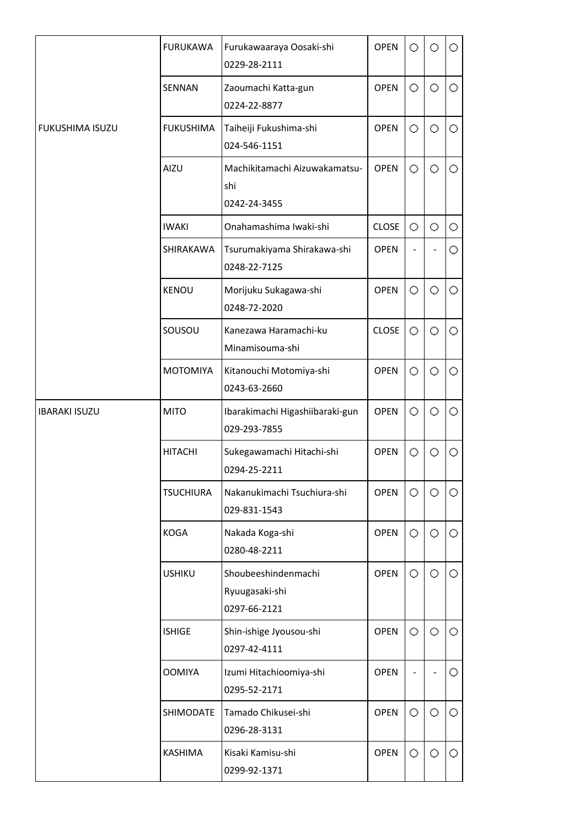|                      | <b>FURUKAWA</b>  | Furukawaaraya Oosaki-shi<br>0229-28-2111              | <b>OPEN</b>  | 0 | Ο       | O       |
|----------------------|------------------|-------------------------------------------------------|--------------|---|---------|---------|
|                      | SENNAN           | Zaoumachi Katta-gun<br>0224-22-8877                   | <b>OPEN</b>  | O | O       | 0       |
| FUKUSHIMA ISUZU      | <b>FUKUSHIMA</b> | Taiheiji Fukushima-shi<br>024-546-1151                | <b>OPEN</b>  | O | O       | O       |
|                      | AIZU             | Machikitamachi Aizuwakamatsu-<br>shi<br>0242-24-3455  | <b>OPEN</b>  | O | O       | O       |
|                      | <b>IWAKI</b>     | Onahamashima Iwaki-shi                                | <b>CLOSE</b> | O | $\circ$ | O       |
|                      | SHIRAKAWA        | Tsurumakiyama Shirakawa-shi<br>0248-22-7125           | <b>OPEN</b>  |   |         | 0       |
|                      | <b>KENOU</b>     | Morijuku Sukagawa-shi<br>0248-72-2020                 | <b>OPEN</b>  | O | O       | O       |
|                      | SOUSOU           | Kanezawa Haramachi-ku<br>Minamisouma-shi              | <b>CLOSE</b> | O | 0       | $\circ$ |
|                      | <b>MOTOMIYA</b>  | Kitanouchi Motomiya-shi<br>0243-63-2660               | <b>OPEN</b>  | O | O       | 0       |
| <b>IBARAKI ISUZU</b> | <b>MITO</b>      | Ibarakimachi Higashiibaraki-gun<br>029-293-7855       | <b>OPEN</b>  | O | O       | O       |
|                      | <b>HITACHI</b>   | Sukegawamachi Hitachi-shi<br>0294-25-2211             | <b>OPEN</b>  | O | $\circ$ | O       |
|                      | <b>TSUCHIURA</b> | Nakanukimachi Tsuchiura-shi<br>029-831-1543           | <b>OPEN</b>  | O | O       | O       |
|                      | <b>KOGA</b>      | Nakada Koga-shi<br>0280-48-2211                       | <b>OPEN</b>  | O | O       | O       |
|                      | <b>USHIKU</b>    | Shoubeeshindenmachi<br>Ryuugasaki-shi<br>0297-66-2121 | <b>OPEN</b>  | 0 | O       | $\circ$ |
|                      | <b>ISHIGE</b>    | Shin-ishige Jyousou-shi<br>0297-42-4111               | <b>OPEN</b>  | 0 | 0       | O       |
|                      | <b>OOMIYA</b>    | Izumi Hitachioomiya-shi<br>0295-52-2171               | <b>OPEN</b>  |   |         | 0       |
|                      | SHIMODATE        | Tamado Chikusei-shi<br>0296-28-3131                   | <b>OPEN</b>  | 0 | 0.      | 0.      |
|                      | <b>KASHIMA</b>   | Kisaki Kamisu-shi<br>0299-92-1371                     | <b>OPEN</b>  | 0 | 0       | O       |